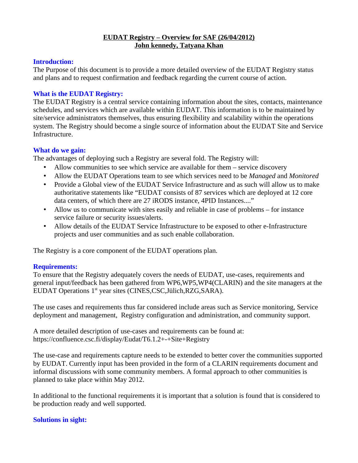#### **EUDAT Registry – Overview for SAF (26/04/2012) John kennedy, Tatyana Khan**

#### **Introduction:**

The Purpose of this document is to provide a more detailed overview of the EUDAT Registry status and plans and to request confirmation and feedback regarding the current course of action.

## **What is the EUDAT Registry:**

The EUDAT Registry is a central service containing information about the sites, contacts, maintenance schedules, and services which are available within EUDAT. This information is to be maintained by site/service administrators themselves, thus ensuring flexibility and scalability within the operations system. The Registry should become a single source of information about the EUDAT Site and Service Infrastructure.

## **What do we gain:**

The advantages of deploying such a Registry are several fold. The Registry will:

- Allow communities to see which service are available for them service discovery
- Allow the EUDAT Operations team to see which services need to be *Managed* and *Monitored*
- Provide a Global view of the EUDAT Service Infrastructure and as such will allow us to make authoritative statements like "EUDAT consists of 87 services which are deployed at 12 core data centers, of which there are 27 iRODS instance, 4PID Instances...."
- Allow us to communicate with sites easily and reliable in case of problems for instance service failure or security issues/alerts.
- Allow details of the EUDAT Service Infrastructure to be exposed to other e-Infrastructure projects and user communities and as such enable collaboration.

The Registry is a core component of the EUDAT operations plan.

## **Requirements:**

To ensure that the Registry adequately covers the needs of EUDAT, use-cases, requirements and general input/feedback has been gathered from WP6,WP5,WP4(CLARIN) and the site managers at the EUDAT Operations 1<sup>st</sup> year sites (CINES,CSC,Jülich,RZG,SARA).

The use cases and requirements thus far considered include areas such as Service monitoring, Service deployment and management, Registry configuration and administration, and community support.

A more detailed description of use-cases and requirements can be found at: https://confluence.csc.fi/display/Eudat/T6.1.2+-+Site+Registry

The use-case and requirements capture needs to be extended to better cover the communities supported by EUDAT. Currently input has been provided in the form of a CLARIN requirements document and informal discussions with some community members. A formal approach to other communities is planned to take place within May 2012.

In additional to the functional requirements it is important that a solution is found that is considered to be production ready and well supported.

## **Solutions in sight:**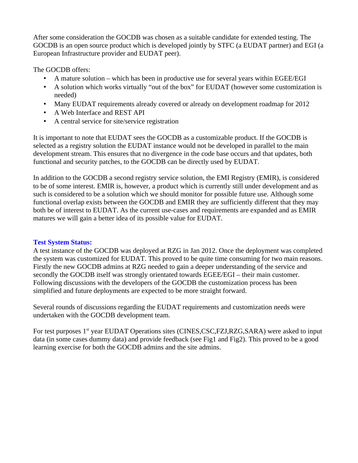After some consideration the GOCDB was chosen as a suitable candidate for extended testing. The GOCDB is an open source product which is developed jointly by STFC (a EUDAT partner) and EGI (a European Infrastructure provider and EUDAT peer).

The GOCDB offers:

- A mature solution which has been in productive use for several years within EGEE/EGI
- A solution which works virtually "out of the box" for EUDAT (however some customization is needed)
- Many EUDAT requirements already covered or already on development roadmap for 2012
- A Web Interface and REST API
- A central service for site/service registration

It is important to note that EUDAT sees the GOCDB as a customizable product. If the GOCDB is selected as a registry solution the EUDAT instance would not be developed in parallel to the main development stream. This ensures that no divergence in the code base occurs and that updates, both functional and security patches, to the GOCDB can be directly used by EUDAT.

In addition to the GOCDB a second registry service solution, the EMI Registry (EMIR), is considered to be of some interest. EMIR is, however, a product which is currently still under development and as such is considered to be a solution which we should monitor for possible future use. Although some functional overlap exists between the GOCDB and EMIR they are sufficiently different that they may both be of interest to EUDAT. As the current use-cases and requirements are expanded and as EMIR matures we will gain a better idea of its possible value for EUDAT.

## **Test System Status:**

A test instance of the GOCDB was deployed at RZG in Jan 2012. Once the deployment was completed the system was customized for EUDAT. This proved to be quite time consuming for two main reasons. Firstly the new GOCDB admins at RZG needed to gain a deeper understanding of the service and secondly the GOCDB itself was strongly orientated towards EGEE/EGI – their main customer. Following discussions with the developers of the GOCDB the customization process has been simplified and future deployments are expected to be more straight forward.

Several rounds of discussions regarding the EUDAT requirements and customization needs were undertaken with the GOCDB development team.

For test purposes 1<sup>st</sup> year EUDAT Operations sites (CINES,CSC,FZJ,RZG,SARA) were asked to input data (in some cases dummy data) and provide feedback (see Fig1 and Fig2). This proved to be a good learning exercise for both the GOCDB admins and the site admins.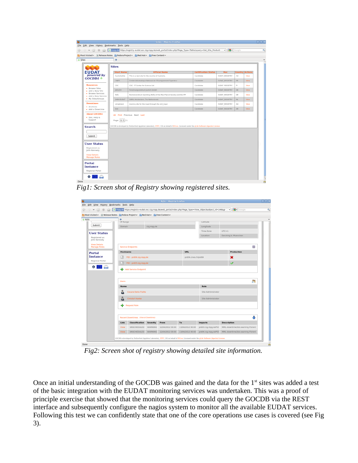|                                            |                              | mpg.de https://registry-eudat.esc.rzg.mpg.de/web_portal/index.php?Page_Type=Table&query=Get_Site_Producti                              |                             | $\check{~}$    | $\sim$ Google |                        |  |  |  |
|--------------------------------------------|------------------------------|----------------------------------------------------------------------------------------------------------------------------------------|-----------------------------|----------------|---------------|------------------------|--|--|--|
|                                            | ÷                            | Most Visited v   @ Release Notes   Fedora Project v   Red Hat v   Free Content v                                                       |                             |                |               |                        |  |  |  |
|                                            |                              |                                                                                                                                        |                             |                |               |                        |  |  |  |
|                                            | <b>Sites</b>                 |                                                                                                                                        |                             |                |               |                        |  |  |  |
| <b>EUDAT</b>                               | <b>Short Name</b>            | <b>Official Name</b>                                                                                                                   | <b>Certification Status</b> | Roc            |               | <b>Country Actions</b> |  |  |  |
| powered by                                 | AustraliaSite                | This is a test site for the country of Australia.                                                                                      | Candidate                   | EUDAT REGISTRY | <b>AU</b>     | View                   |  |  |  |
| GOCDB4                                     | <b>CINES</b>                 | Centre Informatique National de l'Enseignement Superieur                                                                               | Candidate                   | FUDAT REGISTRY | <b>FR</b>     | <b>View</b>            |  |  |  |
| <b>Resources</b>                           | CSC                          | CSC - IT Center for Science Ltd                                                                                                        | Candidate                   | EUDAT REGISTRY | FL.           | View                   |  |  |  |
| • Browse Sites<br>. Add a New Site         | JUELICH                      | Forschungszentrum Juelich GmbH                                                                                                         | Candidate                   | EUDAT REGISTRY | DE            | View                   |  |  |  |
| · Browse Services<br>· Add a New Service   | RZG                          | Rechenzentrum Garching (RZG) of the Max Planck Society and the IPP                                                                     | Candidate                   | EUDAT_REGISTRY | DE            | View                   |  |  |  |
| • My Sites/Groups                          | SARA-EUDAT                   | SARA, Amsterdam, The Netherlands                                                                                                       | Candidate                   | EUDAT REGISTRY | <b>NL</b>     | <b>View</b>            |  |  |  |
| <b>Downtimes</b>                           | simpletest                   | dummy site for the input through the xml input                                                                                         | Candidate                   | EUDAT REGISTRY | AU            | View                   |  |  |  |
| · Archives<br>· Add a Downtime             | test                         |                                                                                                                                        | Candidate                   | EUDAT_REGISTRY | AR.           | <b>View</b>            |  |  |  |
| <b>About GOCDB4</b>                        |                              |                                                                                                                                        |                             |                |               |                        |  |  |  |
| · Doc, Help &                              | All First Previous Next Last |                                                                                                                                        |                             |                |               |                        |  |  |  |
| Support                                    | Page: $1 \div 1$             |                                                                                                                                        |                             |                |               |                        |  |  |  |
| <b>Search</b>                              |                              | GOCDB is developed by Rutherford Appleton Laboratory, STFC, UK on behalf of EGLeu. Licensed under the gLite Software (Apache) License. |                             |                |               |                        |  |  |  |
|                                            |                              |                                                                                                                                        |                             |                |               |                        |  |  |  |
|                                            |                              |                                                                                                                                        |                             |                |               |                        |  |  |  |
|                                            |                              |                                                                                                                                        |                             |                |               |                        |  |  |  |
| Submit                                     |                              |                                                                                                                                        |                             |                |               |                        |  |  |  |
|                                            |                              |                                                                                                                                        |                             |                |               |                        |  |  |  |
| Registered as:                             |                              |                                                                                                                                        |                             |                |               |                        |  |  |  |
| <b>User Status</b><br>John Kennedy         |                              |                                                                                                                                        |                             |                |               |                        |  |  |  |
| <b>View Details</b><br><b>Manage Roles</b> |                              |                                                                                                                                        |                             |                |               |                        |  |  |  |
|                                            |                              |                                                                                                                                        |                             |                |               |                        |  |  |  |
| Portal<br><b>Instance</b>                  |                              |                                                                                                                                        |                             |                |               |                        |  |  |  |

*Fig1: Screen shot of Registry showing registered sites.*

|                                                                                   |                                  |                                       |                 | RZG - Mozilla Firefox |                           |                                                                                                          |                                    |    |
|-----------------------------------------------------------------------------------|----------------------------------|---------------------------------------|-----------------|-----------------------|---------------------------|----------------------------------------------------------------------------------------------------------|------------------------------------|----|
| File Edit View History Bookmarks Tools Help<br>$\vee$ (c)<br>m<br>$\otimes$<br>×) |                                  |                                       |                 |                       |                           | mpg.de https://registry-eudat.esc.rzg.mpg.de/web_portal/index.php?Page_Type=View_Object&object_id=148&gr | $\frac{1}{2}$ $\sim$ Google<br>∵∼∣ |    |
| Most Visited v @ Release Notes Fedora Project v Red Hat Free Content v            |                                  |                                       |                 |                       |                           |                                                                                                          |                                    |    |
| $+$ RZG                                                                           | ÷                                |                                       |                 |                       |                           |                                                                                                          |                                    |    |
| Submit                                                                            | IP Range                         |                                       |                 |                       |                           | Latitude                                                                                                 |                                    |    |
|                                                                                   |                                  | Domain<br>rzg.mpg.de                  |                 |                       |                           | Longitude                                                                                                |                                    |    |
| <b>User Status</b>                                                                |                                  |                                       |                 |                       |                           | Time Zone                                                                                                | $UTC+1$                            |    |
| Registered as:                                                                    |                                  |                                       |                 |                       |                           | Garching b. Muenchen<br>Location                                                                         |                                    |    |
| John Kennedy                                                                      |                                  |                                       |                 |                       |                           |                                                                                                          |                                    |    |
| <b>View Details</b><br><b>Manage Roles</b>                                        | <b>Service Endpoints</b>         |                                       |                 |                       |                           |                                                                                                          |                                    | ## |
| <b>Portal</b>                                                                     | <b>Hostname</b>                  |                                       |                 |                       | <b>URL</b>                | Production                                                                                               |                                    |    |
| <b>Instance</b><br>Regional Portal                                                | PID - pid04.rzg.mpg.de           |                                       |                 |                       | ×<br>pid04.cines.fr/pid04 |                                                                                                          |                                    |    |
|                                                                                   |                                  | PID - pid03.rzg.mpg.de                |                 |                       |                           |                                                                                                          | $\sqrt{}$                          |    |
| ۵à                                                                                | ÷<br><b>Add Service Endpoint</b> |                                       |                 |                       |                           |                                                                                                          |                                    |    |
|                                                                                   |                                  |                                       |                 |                       |                           |                                                                                                          |                                    |    |
|                                                                                   | <b>Users</b>                     |                                       |                 |                       |                           |                                                                                                          |                                    | 88 |
|                                                                                   | <b>Name</b>                      |                                       |                 |                       |                           | Role                                                                                                     |                                    |    |
|                                                                                   |                                  | <b>Cesare Delle Fratte</b>            |                 |                       |                           | Site Administrator                                                                                       |                                    |    |
|                                                                                   | B                                | <b>Christof Hanke</b>                 |                 |                       |                           | Site Administrator                                                                                       |                                    |    |
|                                                                                   |                                  |                                       |                 |                       |                           |                                                                                                          |                                    |    |
|                                                                                   | ÷                                | <b>Request Role</b>                   |                 |                       |                           |                                                                                                          |                                    |    |
|                                                                                   |                                  | Recent Downtimes (View all Downtimes) |                 |                       |                           |                                                                                                          |                                    | Д  |
|                                                                                   | Link                             | <b>Classification</b>                 | <b>Severity</b> | From                  | To                        | <b>Impacts</b>                                                                                           | <b>Description</b>                 |    |
|                                                                                   | View                             | UNSCHEDULED                           | WARNING         | 12/04/2012 00:00      | 13/04/2012 00:00          | pid03.rzg.mpg.dePID                                                                                      | MML-downtime2bis-warning-Florent   |    |

*Fig2: Screen shot of registry showing detailed site information.*

Once an initial understanding of the GOCDB was gained and the data for the  $1<sup>st</sup>$  sites was added a test of the basic integration with the EUDAT monitoring services was undertaken. This was a proof of principle exercise that showed that the monitoring services could query the GOCDB via the REST interface and subsequently configure the nagios system to monitor all the available EUDAT services. Following this test we can confidently state that one of the core operations use cases is covered (see Fig 3).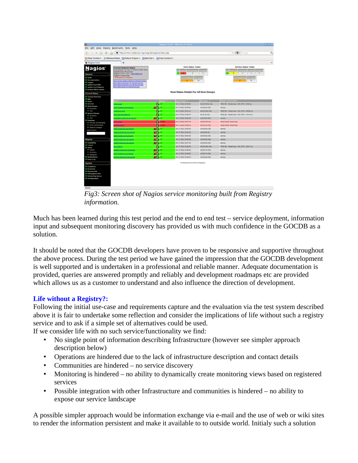| ⋓                                                                                                                                                  |                                                                                                                                                                                                                                                                                                                                                                                                              |                  | Nagios Core - Mozilla Firefox                               |                           |                                                                                                         | alok         |  |
|----------------------------------------------------------------------------------------------------------------------------------------------------|--------------------------------------------------------------------------------------------------------------------------------------------------------------------------------------------------------------------------------------------------------------------------------------------------------------------------------------------------------------------------------------------------------------|------------------|-------------------------------------------------------------|---------------------------|---------------------------------------------------------------------------------------------------------|--------------|--|
|                                                                                                                                                    | File Edit View History Bookmarks Tools Help                                                                                                                                                                                                                                                                                                                                                                  |                  |                                                             |                           |                                                                                                         |              |  |
| (C)<br>≪<br>$\checkmark$                                                                                                                           | M http://cmon-eudat.esc.rzg.mpg.de/nagios/index.php                                                                                                                                                                                                                                                                                                                                                          |                  |                                                             |                           | K Google<br>$\check{~}$                                                                                 | ۹            |  |
| Most Visited ~                                                                                                                                     | Release Notes Fedora Project > Red Hat > Free Content >                                                                                                                                                                                                                                                                                                                                                      |                  |                                                             |                           |                                                                                                         |              |  |
| N Nagios Core                                                                                                                                      | 4                                                                                                                                                                                                                                                                                                                                                                                                            |                  |                                                             |                           |                                                                                                         | $\checkmark$ |  |
| <b>Nagios</b><br>General<br>· Home<br>· Documentation<br>C Logout<br>to update from SVN<br>· update from Registry<br><b>O</b> browse SVN in viewvc | <b>Current Network Status</b><br>Last Updated: Tue Apr 17 15:51:37 CEST 2012<br>Updated every 90 seconds<br>Nagios® Core <sup>rai</sup> 3.3.1 - www.nagios.org<br>Logged in as jkennedy<br>Notifications are disabled<br><b>Vew Service Status Detail For All Host Groups</b><br>View Status Overview For All Host Groups<br>View Status Summary For All Host Groups<br>View Status Grid For All Host Groups |                  | <b>Host Status Totals</b><br>$\circ$<br><b>All Problems</b> | $\circ$<br>All Type<br>16 | <b>Service Status Totals</b><br>$\circ$<br>$\circ$<br>$\circ$<br><b>All Problems</b><br>All Type:<br>74 |              |  |
| <b>Current Status</b>                                                                                                                              |                                                                                                                                                                                                                                                                                                                                                                                                              |                  | <b>Host Status Details For All Host Groups</b>              |                           |                                                                                                         |              |  |
| <b>C</b> Lactical Overview<br>$•$ Map                                                                                                              |                                                                                                                                                                                                                                                                                                                                                                                                              |                  |                                                             |                           |                                                                                                         |              |  |
| · Hosts                                                                                                                                            |                                                                                                                                                                                                                                                                                                                                                                                                              |                  | Last Check $\Uparrow$                                       | Duration <sup>1</sup>     | <b>Status Information</b>                                                                               |              |  |
| · Services<br>· Host Groups                                                                                                                        | on-eudat                                                                                                                                                                                                                                                                                                                                                                                                     | 客                | 04-17-2012 15:49:04                                         | 32d 23h 53m 13s           | PING OK - Packet loss = 0%, RTA = 0.03 ms                                                               |              |  |
| · Summary                                                                                                                                          | ion-eudat esc.rzg.mpg.de                                                                                                                                                                                                                                                                                                                                                                                     | XB               | 04-17-2012 15:49:06                                         | 14d 0h 8m 59s             | dummy                                                                                                   |              |  |
| · Grid                                                                                                                                             | nfluence.csc.fi                                                                                                                                                                                                                                                                                                                                                                                              | P.               | 04-17-2012 15:51:14                                         | 33d 0h 33m 46s            | PING OK - Packet loss = 0%, RTA = 39.86 ms.                                                             |              |  |
| Service Groups<br>· Summary                                                                                                                        | ir1.zam.kfa-juelich.de                                                                                                                                                                                                                                                                                                                                                                                       | B.               | 04-17-2012 15:48:44                                         | 0d 1h 3m 41s              | PING OK - Packet loss = 0%, RTA = 14.44 ms                                                              |              |  |
| · Grid                                                                                                                                             | ndlepid-eudat.esc.rzg.mpg.de                                                                                                                                                                                                                                                                                                                                                                                 | ХR               | 04-17-2012 15:50:36                                         | 14d 0h 9m 29s             | dummy                                                                                                   |              |  |
| · Problems<br>· Services (Unhandled)                                                                                                               | 5.805.80                                                                                                                                                                                                                                                                                                                                                                                                     | 奮<br><b>DOWN</b> | 04-17-2012 15:47:44                                         | 13d 5h 47m 6s             | (Host Check Timed Out)                                                                                  |              |  |
| · Hosts (Unhandled)                                                                                                                                | 04.cines.fr                                                                                                                                                                                                                                                                                                                                                                                                  | 魯<br><b>WWO</b>  | 04-17-2012 15:50:14                                         | 0d 5h 11m 23s             | (Host Check Timed Out)                                                                                  |              |  |
| · Network Outages<br>Ouick Search:                                                                                                                 | ods1-eudat.esc.rzg.mpg.de                                                                                                                                                                                                                                                                                                                                                                                    | Xß               | 04-17-2012 15:50:36                                         | 14d 0h 8m 39s             | dummy                                                                                                   |              |  |
|                                                                                                                                                    | gistry-eudat.esc.rzg.mpg.de                                                                                                                                                                                                                                                                                                                                                                                  | ХR               | 04-17-2012 15:50:36                                         | 14d 0h 6m 9s              | dummy                                                                                                   |              |  |
|                                                                                                                                                    | epik-eudat.esc.rzg.mpg.de                                                                                                                                                                                                                                                                                                                                                                                    | ХŅ               | 04-17-2012 15:50:36                                         | 14d 0h 8m 29s             | dummy                                                                                                   |              |  |
| <b>Reports</b>                                                                                                                                     | pkc2-eudat.esc.rzg.mpg.de                                                                                                                                                                                                                                                                                                                                                                                    | XÑ               | 04-17-2012 15:50:56                                         | 14d 0h 5m 59s             | dummy                                                                                                   |              |  |
| · Availability                                                                                                                                     | epix3-eudat.esc.rzg.mpg.de                                                                                                                                                                                                                                                                                                                                                                                   | ХB               | 04-17-2012 15:47:26                                         | 14d 0h 9m 49s             | dummy                                                                                                   |              |  |
| <b>C</b> Trends                                                                                                                                    | m.eudat.eu                                                                                                                                                                                                                                                                                                                                                                                                   | 搾                | 04-17-2012 15:46:34                                         | 33d 0h 26m 43s            | PING OK - Packet loss = 0%, RTA = 39.47 ms                                                              |              |  |
| Alerts<br>· History                                                                                                                                | eblicht-eudat esc rzg.mpg.de                                                                                                                                                                                                                                                                                                                                                                                 | Xß               | 04-17-2012 15:48:36                                         | 14d 0h 7m 59s             | dummy                                                                                                   |              |  |
| · Summary                                                                                                                                          |                                                                                                                                                                                                                                                                                                                                                                                                              |                  | 04-17-2012 15:48:56                                         | 14d 0h 7m 39s             | dummy                                                                                                   |              |  |
| · Histogram<br><b>Notifications</b>                                                                                                                | p7a-eudat.esc.rzg.mpg.de                                                                                                                                                                                                                                                                                                                                                                                     | ЖR               |                                                             |                           |                                                                                                         |              |  |
| <b>C</b> Event Log                                                                                                                                 | p7test-eudat.esc.rzg.mpg.de                                                                                                                                                                                                                                                                                                                                                                                  | ХR               | 04-17-2012 15:49:16                                         | 14d 0h 9m 49s             | dummy                                                                                                   |              |  |
| System                                                                                                                                             |                                                                                                                                                                                                                                                                                                                                                                                                              |                  | 16 Matching Host Entries Displayed                          |                           |                                                                                                         |              |  |
| Comments<br>· Downtime<br><b>C</b> Process Info<br><b>C</b> Performance Info<br>Scheduling Queue<br>Configuration                                  |                                                                                                                                                                                                                                                                                                                                                                                                              |                  |                                                             |                           |                                                                                                         |              |  |
| Done                                                                                                                                               |                                                                                                                                                                                                                                                                                                                                                                                                              |                  |                                                             |                           |                                                                                                         |              |  |

*Fig3: Screen shot of Nagios service monitoring built from Registry information.*

Much has been learned during this test period and the end to end test – service deployment, information input and subsequent monitoring discovery has provided us with much confidence in the GOCDB as a solution.

It should be noted that the GOCDB developers have proven to be responsive and supportive throughout the above process. During the test period we have gained the impression that the GOCDB development is well supported and is undertaken in a professional and reliable manner. Adequate documentation is provided, queries are answered promptly and reliably and development roadmaps etc are provided which allows us as a customer to understand and also influence the direction of development.

# **Life without a Registry?:**

Following the initial use-case and requirements capture and the evaluation via the test system described above it is fair to undertake some reflection and consider the implications of life without such a registry service and to ask if a simple set of alternatives could be used.

If we consider life with no such service/functionality we find:

- No single point of information describing Infrastructure (however see simpler approach description below)
- Operations are hindered due to the lack of infrastructure description and contact details
- Communities are hindered no service discovery
- Monitoring is hindered no ability to dynamically create monitoring views based on registered services
- Possible integration with other Infrastructure and communities is hindered no ability to expose our service landscape

A possible simpler approach would be information exchange via e-mail and the use of web or wiki sites to render the information persistent and make it available to to outside world. Initialy such a solution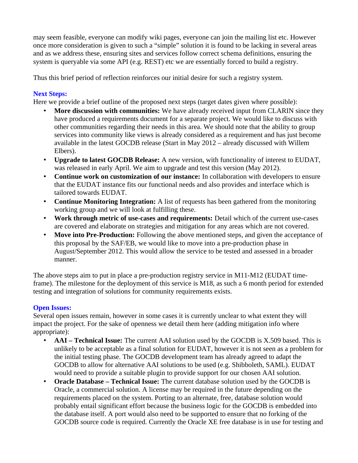may seem feasible, everyone can modify wiki pages, everyone can join the mailing list etc. However once more consideration is given to such a "simple" solution it is found to be lacking in several areas and as we address these, ensuring sites and services follow correct schema definitions, ensuring the system is queryable via some API (e.g. REST) etc we are essentially forced to build a registry.

Thus this brief period of reflection reinforces our initial desire for such a registry system.

# **Next Steps:**

Here we provide a brief outline of the proposed next steps (target dates given where possible):

- **More discussion with communities:** We have already received input from CLARIN since they have produced a requirements document for a separate project. We would like to discuss with other communities regarding their needs in this area. We should note that the ability to group services into community like views is already considered as a requirement and has just become available in the latest GOCDB release (Start in May 2012 – already discussed with Willem Elbers).
- **Upgrade to latest GOCDB Release:** A new version, with functionality of interest to EUDAT, was released in early April. We aim to upgrade and test this version (May 2012).
- **Continue work on customization of our instance:** In collaboration with developers to ensure that the EUDAT instance fits our functional needs and also provides and interface which is tailored towards EUDAT.
- **Continue Monitoring Integration:** A list of requests has been gathered from the monitoring working group and we will look at fulfilling these.
- **Work through metric of use-cases and requirements:** Detail which of the current use-cases are covered and elaborate on strategies and mitigation for any areas which are not covered.
- **Move into Pre-Production:** Following the above mentioned steps, and given the acceptance of this proposal by the SAF/EB, we would like to move into a pre-production phase in August/September 2012. This would allow the service to be tested and assessed in a broader manner.

The above steps aim to put in place a pre-production registry service in M11-M12 (EUDAT timeframe). The milestone for the deployment of this service is M18, as such a 6 month period for extended testing and integration of solutions for community requirements exists.

## **Open Issues:**

Several open issues remain, however in some cases it is currently unclear to what extent they will impact the project. For the sake of openness we detail them here (adding mitigation info where appropriate):

- **AAI Technical Issue:** The current AAI solution used by the GOCDB is X.509 based. This is unlikely to be acceptable as a final solution for EUDAT, however it is not seen as a problem for the initial testing phase. The GOCDB development team has already agreed to adapt the GOCDB to allow for alternative AAI solutions to be used (e.g. Shibboleth, SAML). EUDAT would need to provide a suitable plugin to provide support for our chosen AAI solution.
- **Oracle Database Technical Issue:** The current database solution used by the GOCDB is Oracle, a commercial solution. A license may be required in the future depending on the requirements placed on the system. Porting to an alternate, free, database solution would probably entail significant effort because the business logic for the GOCDB is embedded into the database itself. A port would also need to be supported to ensure that no forking of the GOCDB source code is required. Currently the Oracle XE free database is in use for testing and